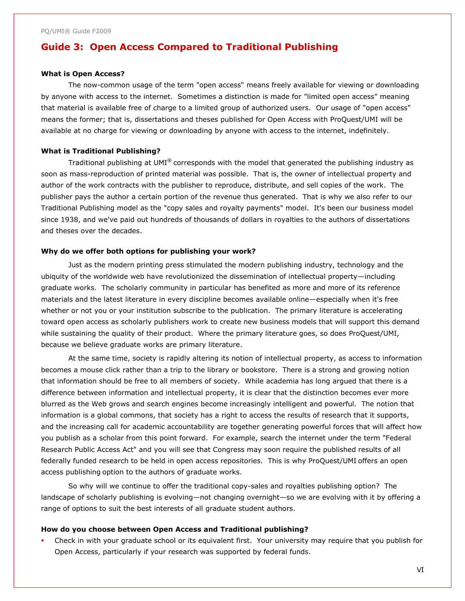# **Guide 3: Open Access Compared to Traditional Publishing**

### **What is Open Access?**

The now-common usage of the term "open access" means freely available for viewing or downloading by anyone with access to the internet. Sometimes a distinction is made for "limited open access" meaning that material is available free of charge to a limited group of authorized users. Our usage of "open access" means the former; that is, dissertations and theses published for Open Access with ProQuest/UMI will be available at no charge for viewing or downloading by anyone with access to the internet, indefinitely.

## **What is Traditional Publishing?**

Traditional publishing at UMI<sup>®</sup> corresponds with the model that generated the publishing industry as soon as mass-reproduction of printed material was possible. That is, the owner of intellectual property and author of the work contracts with the publisher to reproduce, distribute, and sell copies of the work. The publisher pays the author a certain portion of the revenue thus generated. That is why we also refer to our Traditional Publishing model as the "copy sales and royalty payments" model. It's been our business model since 1938, and we've paid out hundreds of thousands of dollars in royalties to the authors of dissertations and theses over the decades.

## **Why do we offer both options for publishing your work?**

Just as the modern printing press stimulated the modern publishing industry, technology and the ubiquity of the worldwide web have revolutionized the dissemination of intellectual property—including graduate works. The scholarly community in particular has benefited as more and more of its reference materials and the latest literature in every discipline becomes available online—especially when it's free whether or not you or your institution subscribe to the publication. The primary literature is accelerating toward open access as scholarly publishers work to create new business models that will support this demand while sustaining the quality of their product. Where the primary literature goes, so does ProQuest/UMI, because we believe graduate works are primary literature.

At the same time, society is rapidly altering its notion of intellectual property, as access to information becomes a mouse click rather than a trip to the library or bookstore. There is a strong and growing notion that information should be free to all members of society. While academia has long argued that there is a difference between information and intellectual property, it is clear that the distinction becomes ever more blurred as the Web grows and search engines become increasingly intelligent and powerful. The notion that information is a global commons, that society has a right to access the results of research that it supports, and the increasing call for academic accountability are together generating powerful forces that will affect how you publish as a scholar from this point forward. For example, search the internet under the term "Federal Research Public Access Act" and you will see that Congress may soon require the published results of all federally funded research to be held in open access repositories. This is why ProQuest/UMI offers an open access publishing option to the authors of graduate works.

So why will we continue to offer the traditional copy-sales and royalties publishing option? The landscape of scholarly publishing is evolving—not changing overnight—so we are evolving with it by offering a range of options to suit the best interests of all graduate student authors.

#### **How do you choose between Open Access and Traditional publishing?**

 Check in with your graduate school or its equivalent first. Your university may require that you publish for Open Access, particularly if your research was supported by federal funds.